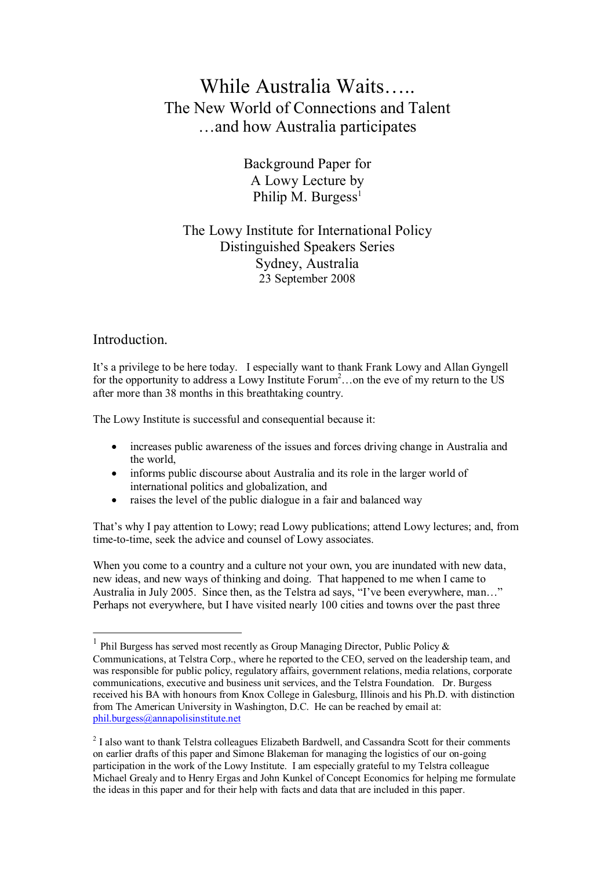# While Australia Waits….. The New World of Connections and Talent …and how Australia participates

Background Paper for A Lowy Lecture by Philip M. Burgess<sup>1</sup>

## The Lowy Institute for International Policy Distinguished Speakers Series Sydney, Australia 23 September 2008

#### **Introduction**

It's a privilege to be here today. I especially want to thank Frank Lowy and Allan Gyngell for the opportunity to address a Lowy Institute Forum<sup>2</sup>...on the eve of my return to the US after more than 38 months in this breathtaking country.

The Lowy Institute is successful and consequential because it:

- · increases public awareness of the issues and forces driving change in Australia and the world,
- informs public discourse about Australia and its role in the larger world of international politics and globalization, and
- raises the level of the public dialogue in a fair and balanced way

That's why I pay attention to Lowy; read Lowy publications; attend Lowy lectures; and, from time-to-time, seek the advice and counsel of Lowy associates.

When you come to a country and a culture not your own, you are inundated with new data, new ideas, and new ways of thinking and doing. That happened to me when I came to Australia in July 2005. Since then, as the Telstra ad says, "I've been everywhere, man…" Perhaps not everywhere, but I have visited nearly 100 cities and towns over the past three

<sup>&</sup>lt;sup>1</sup> Phil Burgess has served most recently as Group Managing Director, Public Policy  $\&$ Communications, at Telstra Corp., where he reported to the CEO, served on the leadership team, and was responsible for public policy, regulatory affairs, government relations, media relations, corporate communications, executive and business unit services, and the Telstra Foundation. Dr. Burgess received his BA with honours from Knox College in Galesburg, Illinois and his Ph.D. with distinction from The American University in Washington, D.C. He can be reached by email at: phil.burgess@annapolisinstitute.net

<sup>&</sup>lt;sup>2</sup> I also want to thank Telstra colleagues Elizabeth Bardwell, and Cassandra Scott for their comments on earlier drafts of this paper and Simone Blakeman for managing the logistics of our on-going participation in the work of the Lowy Institute. I am especially grateful to my Telstra colleague Michael Grealy and to Henry Ergas and John Kunkel of Concept Economics for helping me formulate the ideas in this paper and for their help with facts and data that are included in this paper.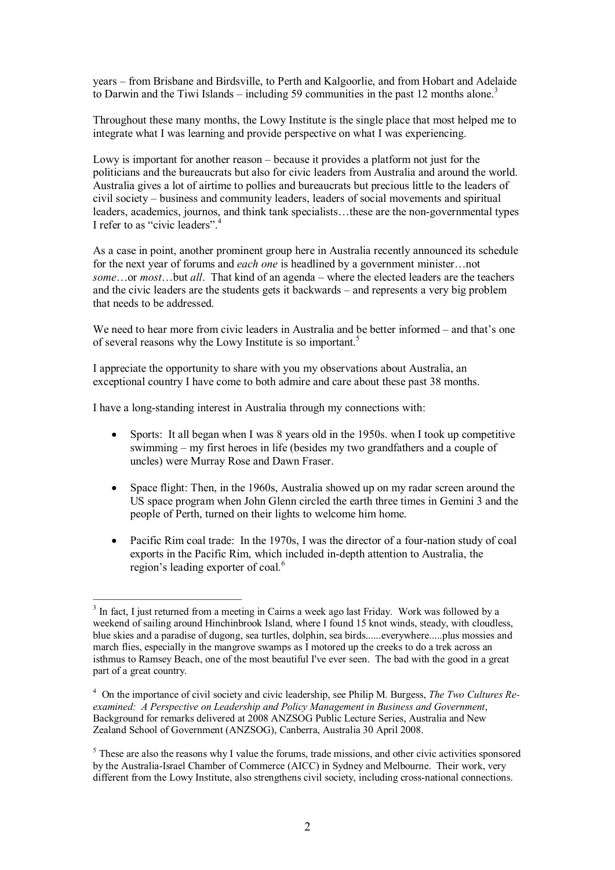years – from Brisbane and Birdsville, to Perth and Kalgoorlie, and from Hobart and Adelaide to Darwin and the Tiwi Islands – including 59 communities in the past 12 months alone.<sup>3</sup>

Throughout these many months, the Lowy Institute is the single place that most helped me to integrate what I was learning and provide perspective on what I was experiencing.

Lowy is important for another reason – because it provides a platform not just for the politicians and the bureaucrats but also for civic leaders from Australia and around the world. Australia gives a lot of airtime to pollies and bureaucrats but precious little to the leaders of civil society – business and community leaders, leaders of social movements and spiritual leaders, academics, journos, and think tank specialists…these are the nongovernmental types I refer to as "civic leaders".

As a case in point, another prominent group here in Australia recently announced its schedule for the next year of forums and *each one* is headlined by a government minister…not *some*…or *most*…but *all*. That kind of an agenda – where the elected leaders are the teachers and the civic leaders are the students gets it backwards – and represents a very big problem that needs to be addressed.

We need to hear more from civic leaders in Australia and be better informed – and that's one of several reasons why the Lowy Institute is so important.<sup>5</sup>

I appreciate the opportunity to share with you my observations about Australia, an exceptional country I have come to both admire and care about these past 38 months.

I have a long-standing interest in Australia through my connections with:

- Sports: It all began when I was 8 years old in the 1950s. when I took up competitive swimming – my first heroes in life (besides my two grandfathers and a couple of uncles) were Murray Rose and Dawn Fraser.
- Space flight: Then, in the 1960s, Australia showed up on my radar screen around the US space program when John Glenn circled the earth three times in Gemini 3 and the people of Perth, turned on their lights to welcome him home.
- Pacific Rim coal trade: In the 1970s, I was the director of a four-nation study of coal exports in the Pacific Rim, which included in-depth attention to Australia, the region's leading exporter of coal.<sup>6</sup>

<sup>&</sup>lt;sup>3</sup> In fact, I just returned from a meeting in Cairns a week ago last Friday. Work was followed by a weekend of sailing around Hinchinbrook Island, where I found 15 knot winds, steady, with cloudless, blue skies and a paradise of dugong, sea turtles, dolphin, sea birds......everywhere.....plus mossies and march flies, especially in the mangrove swamps as I motored up the creeks to do a trek across an isthmus to Ramsey Beach, one of the most beautiful I've ever seen. The bad with the good in a great part of a great country.

<sup>4</sup> On the importance of civil society and civic leadership, see Philip M. Burgess, *The Two Cultures Re examined: A Perspective on Leadership and Policy Management in Business and Government*, Background for remarks delivered at 2008 ANZSOG Public Lecture Series, Australia and New Zealand School of Government (ANZSOG), Canberra, Australia 30 April 2008.

<sup>&</sup>lt;sup>5</sup> These are also the reasons why I value the forums, trade missions, and other civic activities sponsored by the Australia-Israel Chamber of Commerce (AICC) in Sydney and Melbourne. Their work, very different from the Lowy Institute, also strengthens civil society, including cross-national connections.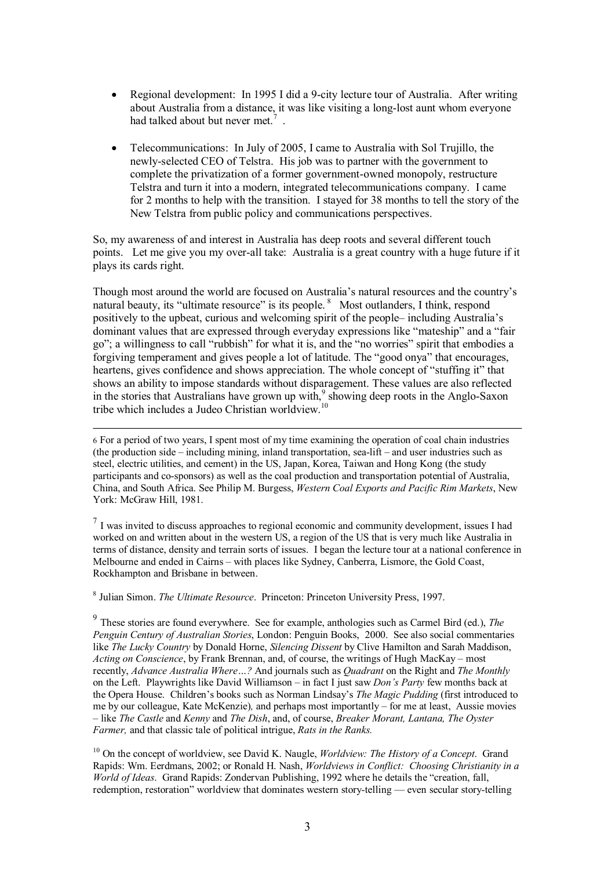- Regional development: In 1995 I did a 9-city lecture tour of Australia. After writing about Australia from a distance, it was like visiting a long-lost aunt whom everyone had talked about but never met.<sup>7</sup>.
- · Telecommunications: In July of 2005, I came to Australia with Sol Trujillo, the newlyselected CEO of Telstra. His job was to partner with the government to complete the privatization of a former government-owned monopoly, restructure Telstra and turn it into a modern, integrated telecommunications company. I came for 2 months to help with the transition. I stayed for 38 months to tell the story of the New Telstra from public policy and communications perspectives.

So, my awareness of and interest in Australia has deep roots and several different touch points. Let me give you my overall take: Australia is a great country with a huge future if it plays its cards right.

Though most around the world are focused on Australia's natural resources and the country's natural beauty, its "ultimate resource" is its people. <sup>8</sup> Most outlanders, I think, respond positively to the upbeat, curious and welcoming spirit of the people– including Australia's dominant values that are expressed through everyday expressions like "mateship" and a "fair go"; a willingness to call "rubbish" for what it is, and the "no worries" spirit that embodies a forgiving temperament and gives people a lot of latitude. The "good onya" that encourages, heartens, gives confidence and shows appreciation. The whole concept of "stuffing it" that shows an ability to impose standards without disparagement. These values are also reflected in the stories that Australians have grown up with, $9$  showing deep roots in the Anglo-Saxon tribe which includes a Judeo Christian worldview.<sup>10</sup>

6 For a period of two years, I spent most of my time examining the operation of coal chain industries (the production side – including mining, inland transportation, sealift – and user industries such as steel, electric utilities, and cement) in the US, Japan, Korea, Taiwan and Hong Kong (the study participants and cosponsors) as well as the coal production and transportation potential of Australia, China, and South Africa. See Philip M. Burgess, *Western Coal Exports and Pacific Rim Markets*, New York: McGraw Hill, 1981.

 $<sup>7</sup>$  I was invited to discuss approaches to regional economic and community development, issues I had</sup> worked on and written about in the western US, a region of the US that is very much like Australia in terms of distance, density and terrain sorts of issues. I began the lecture tour at a national conference in Melbourne and ended in Cairns – with places like Sydney, Canberra, Lismore, the Gold Coast, Rockhampton and Brisbane in between.

<sup>8</sup> Julian Simon. *The Ultimate Resource*. Princeton: Princeton University Press, 1997.

<sup>9</sup> These stories are found everywhere. See for example, anthologies such as Carmel Bird (ed.), *The Penguin Century of Australian Stories*, London: Penguin Books, 2000. See also social commentaries like *The Lucky Country* by Donald Horne, *Silencing Dissent* by Clive Hamilton and Sarah Maddison, *Acting on Conscience*, by Frank Brennan, and, of course, the writings of Hugh MacKay – most recently, *Advance Australia Where…?* And journals such as *Quadrant* on the Right and *The Monthly* on the Left. Playwrights like David Williamson – in fact I just saw *Don's Party* few months back at the Opera House. Children's books such as Norman Lindsay's *The Magic Pudding* (first introduced to me by our colleague, Kate McKenzie)*,* and perhaps most importantly – for me at least, Aussie movies – like *The Castle* and *Kenny* and *The Dish*, and, of course, *Breaker Morant, Lantana, The Oyster Farmer,* and that classic tale of political intrigue, *Rats in the Ranks.*

<sup>10</sup> On the concept of worldview, see David K. Naugle, *Worldview: The History of a Concept*. Grand Rapids: Wm. Eerdmans, 2002; or Ronald H. Nash, *Worldviews in Conflict: Choosing Christianity in a World of Ideas*. Grand Rapids: Zondervan Publishing, 1992 where he details the "creation, fall, redemption, restoration" worldview that dominates western story-telling — even secular story-telling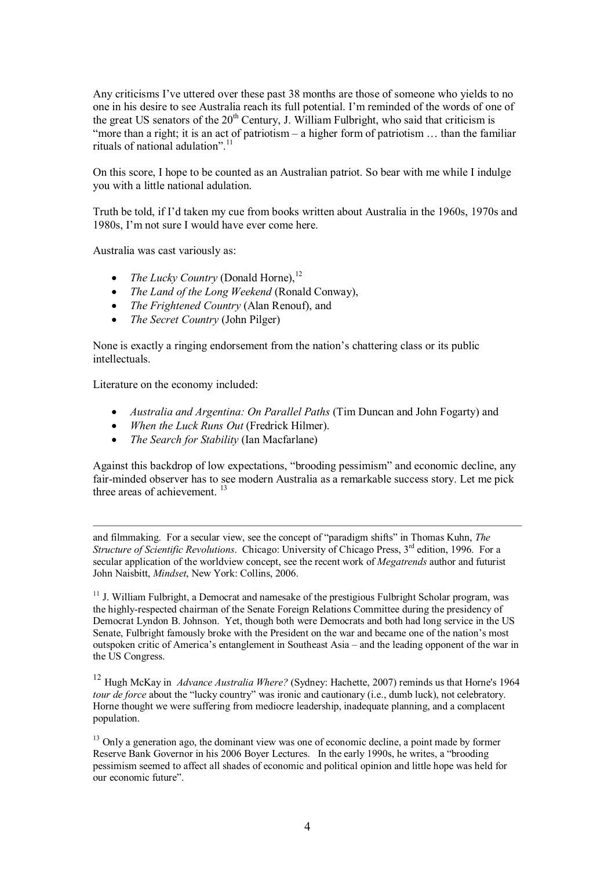Any criticisms I've uttered over these past 38 months are those of someone who yields to no one in his desire to see Australia reach its full potential. I'm reminded of the words of one of the great US senators of the  $20<sup>th</sup>$  Century, J. William Fulbright, who said that criticism is "more than a right; it is an act of patriotism – a higher form of patriotism … than the familiar rituals of national adulation".<sup>11</sup>

On this score, I hope to be counted as an Australian patriot. So bear with me while I indulge you with a little national adulation.

Truth be told, if I'd taken my cue from books written about Australia in the 1960s, 1970s and 1980s, I'm not sure I would have ever come here.

Australia was cast variously as:

- *The Lucky Country* (Donald Horne).<sup>12</sup>
- · *The Land of the Long Weekend* (Ronald Conway),
- · *The Frightened Country* (Alan Renouf), and
- · *The Secret Country* (John Pilger)

None is exactly a ringing endorsement from the nation's chattering class or its public intellectuals.

Literature on the economy included:

- · *Australia and Argentina: On Parallel Paths* (Tim Duncan and John Fogarty) and
- · *When the Luck Runs Out* (Fredrick Hilmer).
- · *The Search for Stability* (Ian Macfarlane)

Against this backdrop of low expectations, "brooding pessimism" and economic decline, any fair-minded observer has to see modern Australia as a remarkable success story. Let me pick three areas of achievement.<sup>13</sup>

and filmmaking. For a secular view, see the concept of "paradigm shifts" in Thomas Kuhn, *The Structure of Scientific Revolutions.* Chicago: University of Chicago Press, 3<sup>rd</sup> edition, 1996. For a secular application of the worldview concept, see the recent work of *Megatrends* author and futurist John Naisbitt, *Mindset*, New York: Collins, 2006.

<sup>11</sup> J. William Fulbright, a Democrat and namesake of the prestigious Fulbright Scholar program, was the highlyrespected chairman of the Senate Foreign Relations Committee during the presidency of Democrat Lyndon B. Johnson. Yet, though both were Democrats and both had long service in the US Senate, Fulbright famously broke with the President on the war and became one of the nation's most outspoken critic of America's entanglement in Southeast Asia – and the leading opponent of the war in the US Congress.

<sup>12</sup> Hugh McKay in *Advance Australia Where?* (Sydney: Hachette, 2007) reminds us that Horne's 1964 *tour de force* about the "lucky country" was ironic and cautionary (i.e., dumb luck), not celebratory. Horne thought we were suffering from mediocre leadership, inadequate planning, and a complacent population.

<sup>13</sup> Only a generation ago, the dominant view was one of economic decline, a point made by former Reserve Bank Governor in his 2006 Boyer Lectures. In the early 1990s, he writes, a "brooding pessimism seemed to affect all shades of economic and political opinion and little hope was held for our economic future".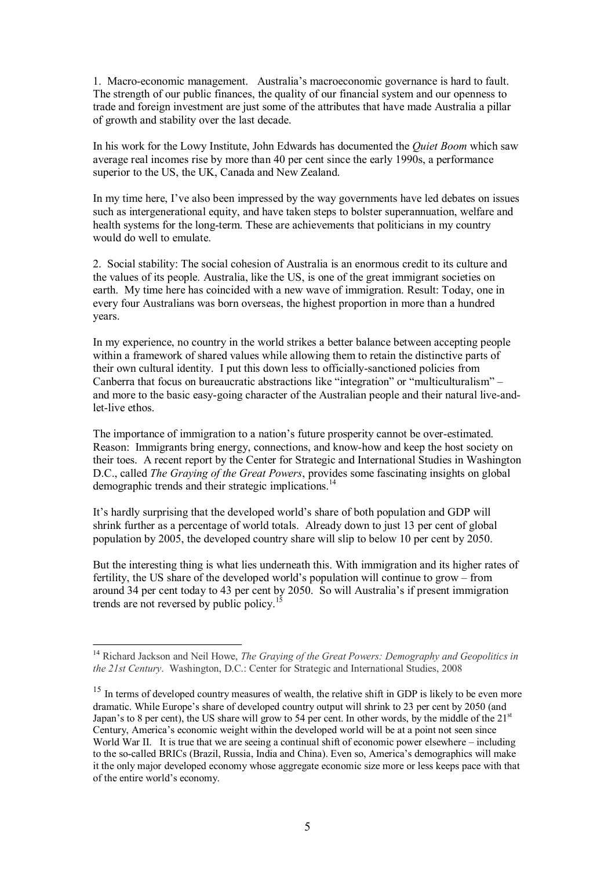1. Macro-economic management. Australia's macroeconomic governance is hard to fault. The strength of our public finances, the quality of our financial system and our openness to trade and foreign investment are just some of the attributes that have made Australia a pillar of growth and stability over the last decade.

In his work for the Lowy Institute, John Edwards has documented the *Quiet Boom* which saw average real incomes rise by more than 40 per cent since the early 1990s, a performance superior to the US, the UK, Canada and New Zealand.

In my time here, I've also been impressed by the way governments have led debates on issues such as intergenerational equity, and have taken steps to bolster superannuation, welfare and health systems for the long-term. These are achievements that politicians in my country would do well to emulate.

2. Social stability: The social cohesion of Australia is an enormous credit to its culture and the values of its people. Australia, like the US, is one of the great immigrant societies on earth. My time here has coincided with a new wave of immigration. Result: Today, one in every four Australians was born overseas, the highest proportion in more than a hundred years.

In my experience, no country in the world strikes a better balance between accepting people within a framework of shared values while allowing them to retain the distinctive parts of their own cultural identity. I put this down less to officially-sanctioned policies from Canberra that focus on bureaucratic abstractions like "integration" or "multiculturalism" – and more to the basic easy-going character of the Australian people and their natural live-andlet-live ethos.

The importance of immigration to a nation's future prosperity cannot be overestimated. Reason: Immigrants bring energy, connections, and knowhow and keep the host society on their toes. A recent report by the Center for Strategic and International Studies in Washington D.C., called *The Graying of the Great Powers*, provides some fascinating insights on global demographic trends and their strategic implications.<sup>14</sup>

It's hardly surprising that the developed world's share of both population and GDP will shrink further as a percentage of world totals. Already down to just 13 per cent of global population by 2005, the developed country share will slip to below 10 per cent by 2050.

But the interesting thing is what lies underneath this. With immigration and its higher rates of fertility, the US share of the developed world's population will continue to grow – from around 34 per cent today to 43 per cent by 2050. So will Australia's if present immigration trends are not reversed by public policy.<sup>15</sup>

<sup>14</sup> Richard Jackson and Neil Howe, *The Graying of the Great Powers: Demography and Geopolitics in the 21st Century*. Washington, D.C.: Center for Strategic and International Studies, 2008

<sup>&</sup>lt;sup>15</sup> In terms of developed country measures of wealth, the relative shift in GDP is likely to be even more dramatic. While Europe's share of developed country output will shrink to 23 per cent by 2050 (and Japan's to 8 per cent), the US share will grow to 54 per cent. In other words, by the middle of the 21<sup>st</sup> Century, America's economic weight within the developed world will be at a point not seen since World War II. It is true that we are seeing a continual shift of economic power elsewhere – including to the socalled BRICs (Brazil, Russia, India and China). Even so, America's demographics will make it the only major developed economy whose aggregate economic size more or less keeps pace with that of the entire world's economy.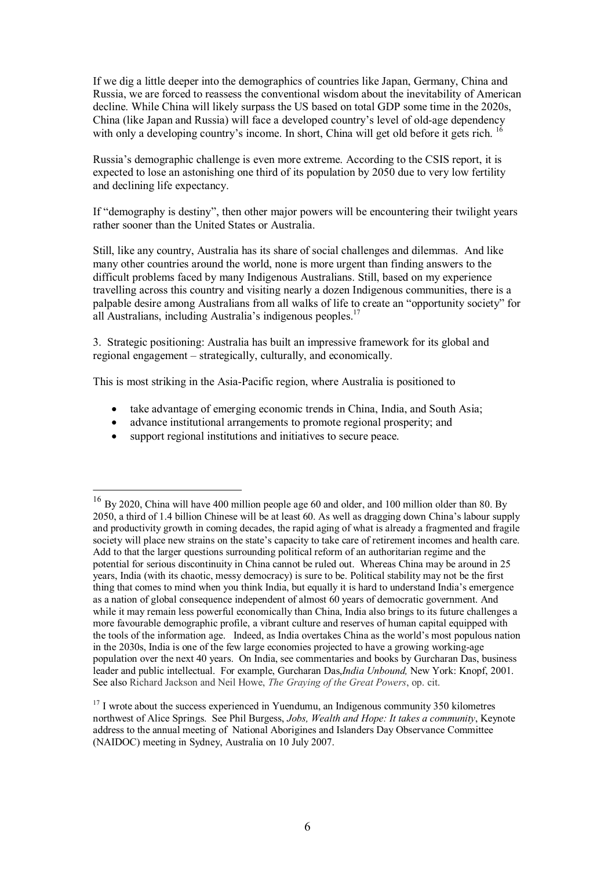If we dig a little deeper into the demographics of countries like Japan, Germany, China and Russia, we are forced to reassess the conventional wisdom about the inevitability of American decline. While China will likely surpass the US based on total GDP some time in the 2020s, China (like Japan and Russia) will face a developed country's level of old-age dependency with only a developing country's income. In short, China will get old before it gets rich. <sup>16</sup>

Russia's demographic challenge is even more extreme. According to the CSIS report, it is expected to lose an astonishing one third of its population by 2050 due to very low fertility and declining life expectancy.

If "demography is destiny", then other major powers will be encountering their twilight years rather sooner than the United States or Australia.

Still, like any country, Australia has its share of social challenges and dilemmas. And like many other countries around the world, none is more urgent than finding answers to the difficult problems faced by many Indigenous Australians. Still, based on my experience travelling across this country and visiting nearly a dozen Indigenous communities, there is a palpable desire among Australians from all walks of life to create an "opportunity society" for all Australians, including Australia's indigenous peoples.<sup>17</sup>

3. Strategic positioning: Australia has built an impressive framework for its global and regional engagement – strategically, culturally, and economically.

This is most striking in the Asia-Pacific region, where Australia is positioned to

- take advantage of emerging economic trends in China, India, and South Asia;
- · advance institutional arrangements to promote regional prosperity; and
- support regional institutions and initiatives to secure peace.

 $16$  By 2020, China will have 400 million people age 60 and older, and 100 million older than 80. By 2050, a third of 1.4 billion Chinese will be at least 60. As well as dragging down China's labour supply and productivity growth in coming decades, the rapid aging of what is already a fragmented and fragile society will place new strains on the state's capacity to take care of retirement incomes and health care. Add to that the larger questions surrounding political reform of an authoritarian regime and the potential for serious discontinuity in China cannot be ruled out. Whereas China may be around in 25 years, India (with its chaotic, messy democracy) is sure to be. Political stability may not be the first thing that comes to mind when you think India, but equally it is hard to understand India's emergence as a nation of global consequence independent of almost 60 years of democratic government. And while it may remain less powerful economically than China, India also brings to its future challenges a more favourable demographic profile, a vibrant culture and reserves of human capital equipped with the tools of the information age. Indeed, as India overtakes China as the world's most populous nation in the 2030s, India is one of the few large economies projected to have a growing working-age population over the next 40 years. On India, see commentaries and books by Gurcharan Das, business leader and public intellectual. For example, Gurcharan Das,*India Unbound,* New York: Knopf, 2001. See also Richard Jackson and Neil Howe, *The Graying of the Great Powers*, op. cit.

<sup>&</sup>lt;sup>17</sup> I wrote about the success experienced in Yuendumu, an Indigenous community 350 kilometres northwest of Alice Springs. See Phil Burgess, *Jobs, Wealth and Hope: It takes a community*, Keynote address to the annual meeting of National Aborigines and Islanders Day Observance Committee (NAIDOC) meeting in Sydney, Australia on 10 July 2007.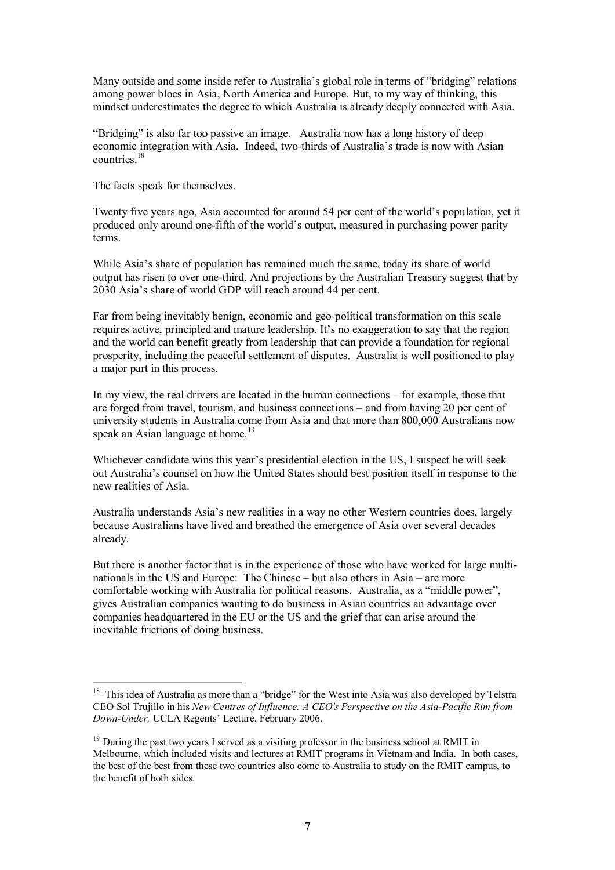Many outside and some inside refer to Australia's global role in terms of "bridging" relations among power blocs in Asia, North America and Europe. But, to my way of thinking, this mindset underestimates the degree to which Australia is already deeply connected with Asia.

"Bridging" is also far too passive an image. Australia now has a long history of deep economic integration with Asia. Indeed, two-thirds of Australia's trade is now with Asian countries.<sup>18</sup>

The facts speak for themselves.

Twenty five years ago, Asia accounted for around 54 per cent of the world's population, yet it produced only around onefifth of the world's output, measured in purchasing power parity terms.

While Asia's share of population has remained much the same, today its share of world output has risen to over one-third. And projections by the Australian Treasury suggest that by 2030 Asia's share of world GDP will reach around 44 per cent.

Far from being inevitably benign, economic and geo-political transformation on this scale requires active, principled and mature leadership. It's no exaggeration to say that the region and the world can benefit greatly from leadership that can provide a foundation for regional prosperity, including the peaceful settlement of disputes. Australia is well positioned to play a major part in this process.

In my view, the real drivers are located in the human connections – for example, those that are forged from travel, tourism, and business connections – and from having 20 per cent of university students in Australia come from Asia and that more than 800,000 Australians now speak an Asian language at home.<sup>19</sup>

Whichever candidate wins this year's presidential election in the US, I suspect he will seek out Australia's counsel on how the United States should best position itself in response to the new realities of Asia.

Australia understands Asia's new realities in a way no other Western countries does, largely because Australians have lived and breathed the emergence of Asia over several decades already.

But there is another factor that is in the experience of those who have worked for large multi nationals in the US and Europe: The Chinese – but also others in Asia – are more comfortable working with Australia for political reasons. Australia, as a "middle power", gives Australian companies wanting to do business in Asian countries an advantage over companies headquartered in the EU or the US and the grief that can arise around the inevitable frictions of doing business.

 $18$  This idea of Australia as more than a "bridge" for the West into Asia was also developed by Telstra CEO Sol Trujillo in his *New Centres of Influence: A CEO's Perspective on the AsiaPacific Rim from DownUnder,* UCLA Regents' Lecture, February 2006.

 $19$  During the past two years I served as a visiting professor in the business school at RMIT in Melbourne, which included visits and lectures at RMIT programs in Vietnam and India. In both cases, the best of the best from these two countries also come to Australia to study on the RMIT campus, to the benefit of both sides.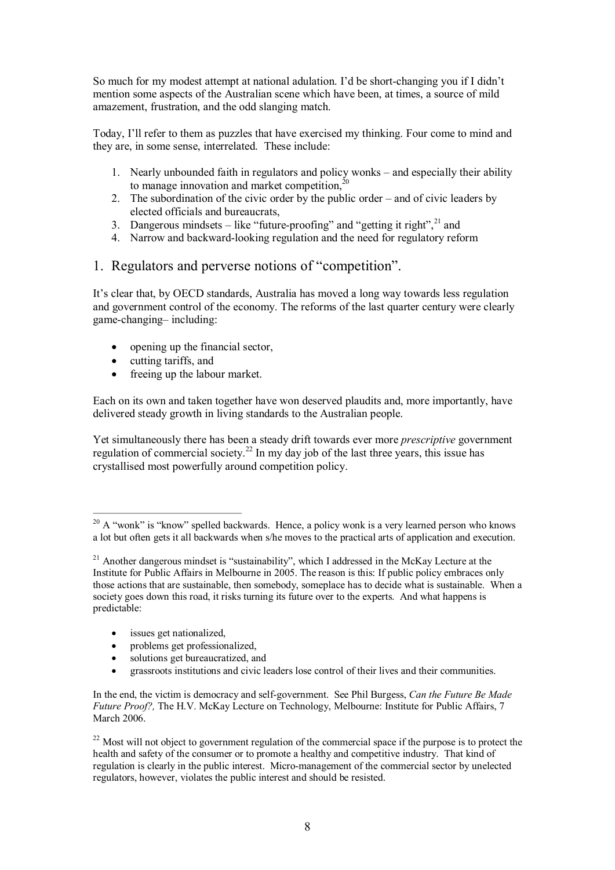So much for my modest attempt at national adulation. I'd be short-changing you if I didn't mention some aspects of the Australian scene which have been, at times, a source of mild amazement, frustration, and the odd slanging match.

Today, I'll refer to them as puzzles that have exercised my thinking. Four come to mind and they are, in some sense, interrelated. These include:

- 1. Nearly unbounded faith in regulators and policy wonks and especially their ability to manage innovation and market competition. $^{20}$
- 2. The subordination of the civic order by the public order and of civic leaders by elected officials and bureaucrats,
- 3. Dangerous mindsets like "future-proofing" and "getting it right",  $^{21}$  and
- 4. Narrow and backward-looking regulation and the need for regulatory reform
- 1. Regulators and perverse notions of "competition".

It's clear that, by OECD standards, Australia has moved a long way towards less regulation and government control of the economy. The reforms of the last quarter century were clearly gamechanging– including:

- opening up the financial sector,
- cutting tariffs, and
- freeing up the labour market.

Each on its own and taken together have won deserved plaudits and, more importantly, have delivered steady growth in living standards to the Australian people.

Yet simultaneously there has been a steady drift towards ever more *prescriptive* government regulation of commercial society.<sup>22</sup> In my day job of the last three years, this issue has crystallised most powerfully around competition policy.

- issues get nationalized,
- problems get professionalized,
- solutions get bureaucratized, and
- · grassroots institutions and civic leaders lose control of their lives and their communities.

<sup>22</sup> Most will not object to government regulation of the commercial space if the purpose is to protect the health and safety of the consumer or to promote a healthy and competitive industry. That kind of regulation is clearly in the public interest. Micro-management of the commercial sector by unelected regulators, however, violates the public interest and should be resisted.

<sup>&</sup>lt;sup>20</sup> A "wonk" is "know" spelled backwards. Hence, a policy wonk is a very learned person who knows a lot but often gets it all backwards when s/he moves to the practical arts of application and execution.

 $21$  Another dangerous mindset is "sustainability", which I addressed in the McKay Lecture at the Institute for Public Affairs in Melbourne in 2005. The reason is this: If public policy embraces only those actions that are sustainable, then somebody, someplace has to decide what is sustainable. When a society goes down this road, it risks turning its future over to the experts. And what happens is predictable:

In the end, the victim is democracy and self-government. See Phil Burgess, *Can the Future Be Made Future Proof?,* The H.V. McKay Lecture on Technology, Melbourne: Institute for Public Affairs, 7 March 2006.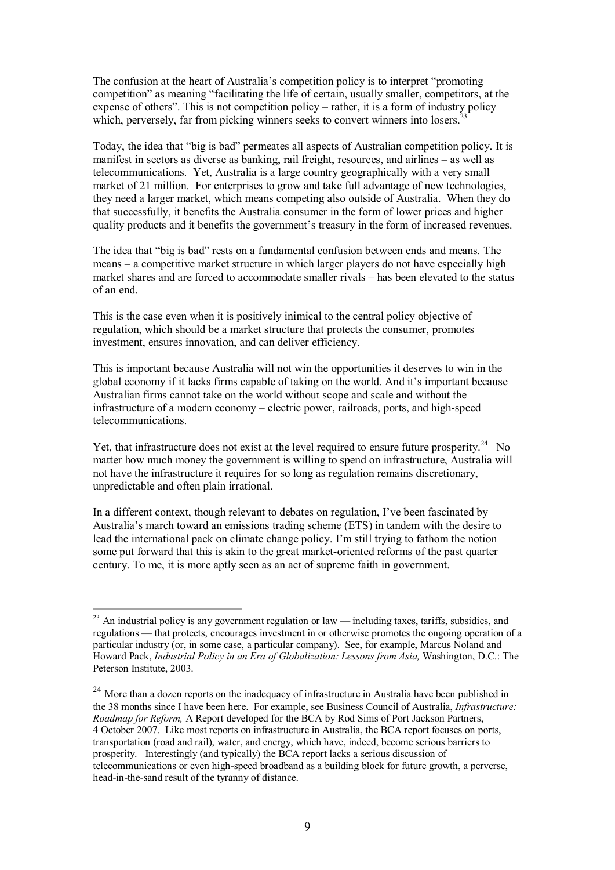The confusion at the heart of Australia's competition policy is to interpret "promoting competition" as meaning "facilitating the life of certain, usually smaller, competitors, at the expense of others". This is not competition policy – rather, it is a form of industry policy which, perversely, far from picking winners seeks to convert winners into losers.

Today, the idea that "big is bad" permeates all aspects of Australian competition policy. It is manifest in sectors as diverse as banking, rail freight, resources, and airlines – as well as telecommunications. Yet, Australia is a large country geographically with a very small market of 21 million. For enterprises to grow and take full advantage of new technologies, they need a larger market, which means competing also outside of Australia. When they do that successfully, it benefits the Australia consumer in the form of lower prices and higher quality products and it benefits the government's treasury in the form of increased revenues.

The idea that "big is bad" rests on a fundamental confusion between ends and means. The means – a competitive market structure in which larger players do not have especially high market shares and are forced to accommodate smaller rivals – has been elevated to the status of an end.

This is the case even when it is positively inimical to the central policy objective of regulation, which should be a market structure that protects the consumer, promotes investment, ensures innovation, and can deliver efficiency.

This is important because Australia will not win the opportunities it deserves to win in the global economy if it lacks firms capable of taking on the world. And it's important because Australian firms cannot take on the world without scope and scale and without the  $in$  frastructure of a modern economy  $-$  electric power, railroads, ports, and high-speed telecommunications.

Yet, that infrastructure does not exist at the level required to ensure future prosperity.<sup>24</sup> No matter how much money the government is willing to spend on infrastructure, Australia will not have the infrastructure it requires for so long as regulation remains discretionary, unpredictable and often plain irrational.

In a different context, though relevant to debates on regulation, I've been fascinated by Australia's march toward an emissions trading scheme (ETS) in tandem with the desire to lead the international pack on climate change policy. I'm still trying to fathom the notion some put forward that this is akin to the great market-oriented reforms of the past quarter century. To me, it is more aptly seen as an act of supreme faith in government.

 $23$  An industrial policy is any government regulation or law — including taxes, tariffs, subsidies, and regulations — that protects, encourages investment in or otherwise promotes the ongoing operation of a particular industry (or, in some case, a particular company). See, for example, Marcus Noland and Howard Pack, *Industrial Policy in an Era of Globalization: Lessons from Asia,* Washington, D.C.: The Peterson Institute, 2003.

<sup>&</sup>lt;sup>24</sup> More than a dozen reports on the inadequacy of infrastructure in Australia have been published in the 38 months since I have been here. For example, see Business Council of Australia, *Infrastructure: Roadmap for Reform,* A Report developed for the BCA by Rod Sims of Port Jackson Partners, 4 October 2007. Like most reports on infrastructure in Australia, the BCA report focuses on ports, transportation (road and rail), water, and energy, which have, indeed, become serious barriers to prosperity. Interestingly (and typically) the BCA report lacks a serious discussion of telecommunications or even high-speed broadband as a building block for future growth, a perverse, head-in-the-sand result of the tyranny of distance.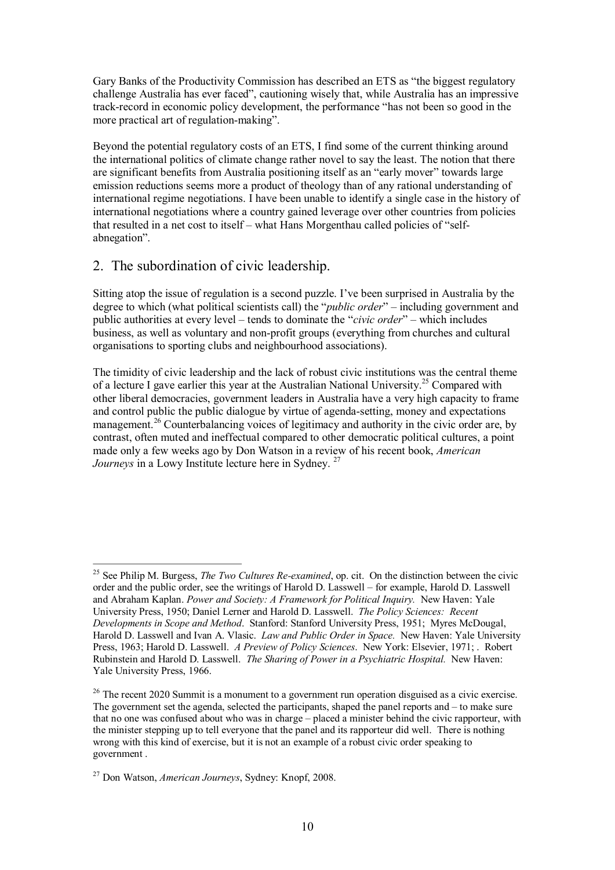Gary Banks of the Productivity Commission has described an ETS as "the biggest regulatory challenge Australia has ever faced", cautioning wisely that, while Australia has an impressive track-record in economic policy development, the performance "has not been so good in the more practical art of regulation-making".

Beyond the potential regulatory costs of an ETS, I find some of the current thinking around the international politics of climate change rather novel to say the least. The notion that there are significant benefits from Australia positioning itself as an "early mover" towards large emission reductions seems more a product of theology than of any rational understanding of international regime negotiations. I have been unable to identify a single case in the history of international negotiations where a country gained leverage over other countries from policies that resulted in a net cost to itself – what Hans Morgenthau called policies of "selfabnegation".

## 2. The subordination of civic leadership.

Sitting atop the issue of regulation is a second puzzle. I've been surprised in Australia by the degree to which (what political scientists call) the "*public order*" – including government and public authorities at every level – tends to dominate the "*civic order*" – which includes business, as well as voluntary and non-profit groups (everything from churches and cultural organisations to sporting clubs and neighbourhood associations).

The timidity of civic leadership and the lack of robust civic institutions was the central theme of a lecture I gave earlier this year at the Australian National University.<sup>25</sup> Compared with other liberal democracies, government leaders in Australia have a very high capacity to frame and control public the public dialogue by virtue of agenda-setting, money and expectations management.<sup>26</sup> Counterbalancing voices of legitimacy and authority in the civic order are, by contrast, often muted and ineffectual compared to other democratic political cultures, a point made only a few weeks ago by Don Watson in a review of his recent book, *American Journeys* in a Lowy Institute lecture here in Sydney.<sup>27</sup>

<sup>&</sup>lt;sup>25</sup> See Philip M. Burgess, *The Two Cultures Re-examined*, op. cit. On the distinction between the civic order and the public order, see the writings of Harold D. Lasswell – for example, Harold D. Lasswell and Abraham Kaplan. *Power and Society: A Framework for Political Inquiry.* New Haven: Yale University Press, 1950; Daniel Lerner and Harold D. Lasswell. *The Policy Sciences: Recent Developments in Scope and Method*. Stanford: Stanford University Press, 1951; Myres McDougal, Harold D. Lasswell and Ivan A. Vlasic. *Law and Public Order in Space.* New Haven: Yale University Press, 1963; Harold D. Lasswell. *A Preview of Policy Sciences*. New York: Elsevier, 1971; . Robert Rubinstein and Harold D. Lasswell. *The Sharing of Power in a Psychiatric Hospital.* New Haven: Yale University Press, 1966.

<sup>&</sup>lt;sup>26</sup> The recent 2020 Summit is a monument to a government run operation disguised as a civic exercise. The government set the agenda, selected the participants, shaped the panel reports and – to make sure that no one was confused about who was in charge – placed a minister behind the civic rapporteur, with the minister stepping up to tell everyone that the panel and its rapporteur did well. There is nothing wrong with this kind of exercise, but it is not an example of a robust civic order speaking to government .

<sup>27</sup> Don Watson, *American Journeys*, Sydney: Knopf, 2008.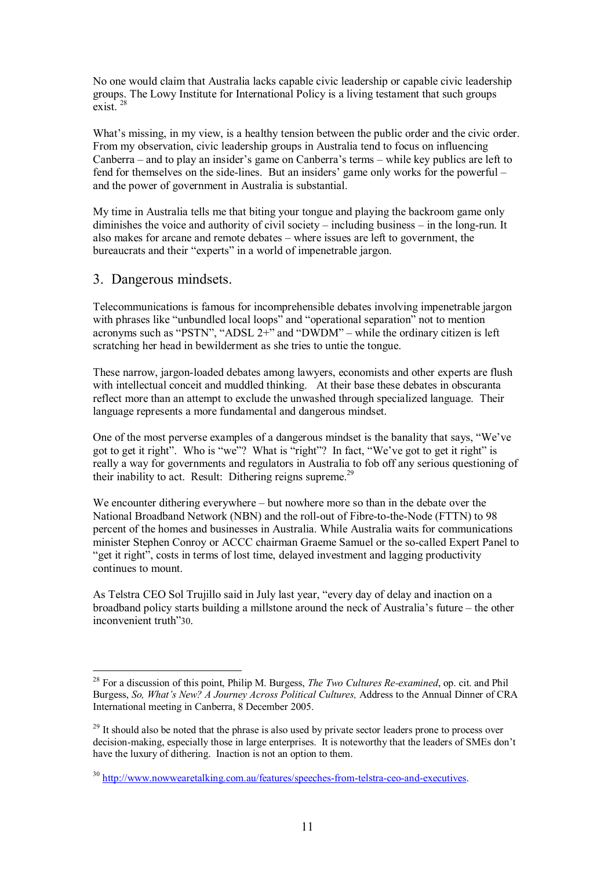No one would claim that Australia lacks capable civic leadership or capable civic leadership groups. The Lowy Institute for International Policy is a living testament that such groups exist. <sup>28</sup>

What's missing, in my view, is a healthy tension between the public order and the civic order. From my observation, civic leadership groups in Australia tend to focus on influencing Canberra – and to play an insider's game on Canberra's terms – while key publics are left to fend for themselves on the side-lines. But an insiders' game only works for the powerful – and the power of government in Australia is substantial.

My time in Australia tells me that biting your tongue and playing the backroom game only diminishes the voice and authority of civil society – including business – in the long-run. It also makes for arcane and remote debates – where issues are left to government, the bureaucrats and their "experts" in a world of impenetrable jargon.

#### 3. Dangerous mindsets.

Telecommunications is famous for incomprehensible debates involving impenetrable jargon with phrases like "unbundled local loops" and "operational separation" not to mention acronyms such as "PSTN", "ADSL 2+" and "DWDM" – while the ordinary citizen is left scratching her head in bewilderment as she tries to untie the tongue.

These narrow, jargon-loaded debates among lawyers, economists and other experts are flush with intellectual conceit and muddled thinking. At their base these debates in obscuranta reflect more than an attempt to exclude the unwashed through specialized language. Their language represents a more fundamental and dangerous mindset.

One of the most perverse examples of a dangerous mindset is the banality that says, "We've got to get it right". Who is "we"? What is "right"? In fact, "We've got to get it right" is really a way for governments and regulators in Australia to fob off any serious questioning of their inability to act. Result: Dithering reigns supreme.<sup>29</sup>

We encounter dithering everywhere – but nowhere more so than in the debate over the National Broadband Network (NBN) and the roll-out of Fibre-to-the-Node (FTTN) to 98 percent of the homes and businesses in Australia. While Australia waits for communications minister Stephen Conroy or ACCC chairman Graeme Samuel or the socalled Expert Panel to "get it right", costs in terms of lost time, delayed investment and lagging productivity continues to mount.

As Telstra CEO Sol Trujillo said in July last year, "every day of delay and inaction on a broadband policy starts building a millstone around the neck of Australia's future – the other inconvenient truth"30.

<sup>&</sup>lt;sup>28</sup> For a discussion of this point, Philip M. Burgess, *The Two Cultures Re-examined*, op. cit. and Phil Burgess, *So, What's New? A Journey Across Political Cultures,* Address to the Annual Dinner of CRA International meeting in Canberra, 8 December 2005.

<sup>&</sup>lt;sup>29</sup> It should also be noted that the phrase is also used by private sector leaders prone to process over decision-making, especially those in large enterprises. It is noteworthy that the leaders of SMEs don't have the luxury of dithering. Inaction is not an option to them.

 $30$  http://www.nowwearetalking.com.au/features/speeches-from-telstra-ceo-and-executives.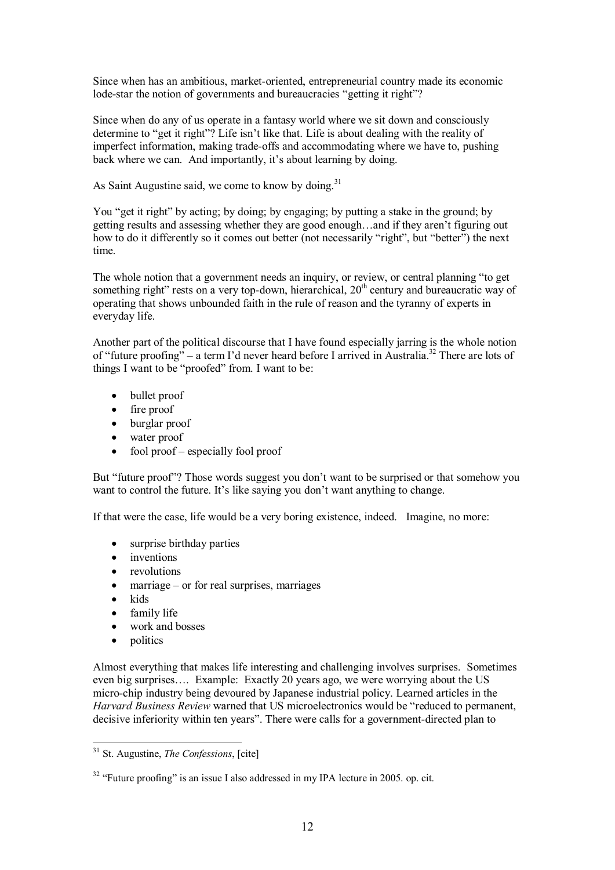Since when has an ambitious, market-oriented, entrepreneurial country made its economic lode-star the notion of governments and bureaucracies "getting it right"?

Since when do any of us operate in a fantasy world where we sit down and consciously determine to "get it right"? Life isn't like that. Life is about dealing with the reality of imperfect information, making trade-offs and accommodating where we have to, pushing back where we can. And importantly, it's about learning by doing.

As Saint Augustine said, we come to know by doing. $31$ 

You "get it right" by acting; by doing; by engaging; by putting a stake in the ground; by getting results and assessing whether they are good enough…and if they aren't figuring out how to do it differently so it comes out better (not necessarily "right", but "better") the next time.

The whole notion that a government needs an inquiry, or review, or central planning "to get something right" rests on a very top-down, hierarchical,  $20<sup>th</sup>$  century and bureaucratic way of operating that shows unbounded faith in the rule of reason and the tyranny of experts in everyday life.

Another part of the political discourse that I have found especially jarring is the whole notion of "future proofing" – a term I'd never heard before I arrived in Australia.<sup>32</sup> There are lots of things I want to be "proofed" from. I want to be:

- bullet proof
- fire proof
- · burglar proof
- water proof
- fool proof especially fool proof

But "future proof"? Those words suggest you don't want to be surprised or that somehow you want to control the future. It's like saying you don't want anything to change.

If that were the case, life would be a very boring existence, indeed. Imagine, no more:

- surprise birthday parties
- inventions
- revolutions
- $\text{marriage} \text{or for real surprises}, \text{marriages}$
- kids
- family life
- work and bosses
- · politics

Almost everything that makes life interesting and challenging involves surprises. Sometimes even big surprises…. Example: Exactly 20 years ago, we were worrying about the US microchip industry being devoured by Japanese industrial policy. Learned articles in the *Harvard Business Review* warned that US microelectronics would be "reduced to permanent, decisive inferiority within ten years". There were calls for a government-directed plan to

<sup>31</sup> St. Augustine, *The Confessions*, [cite]

<sup>&</sup>lt;sup>32</sup> "Future proofing" is an issue I also addressed in my IPA lecture in 2005, op. cit.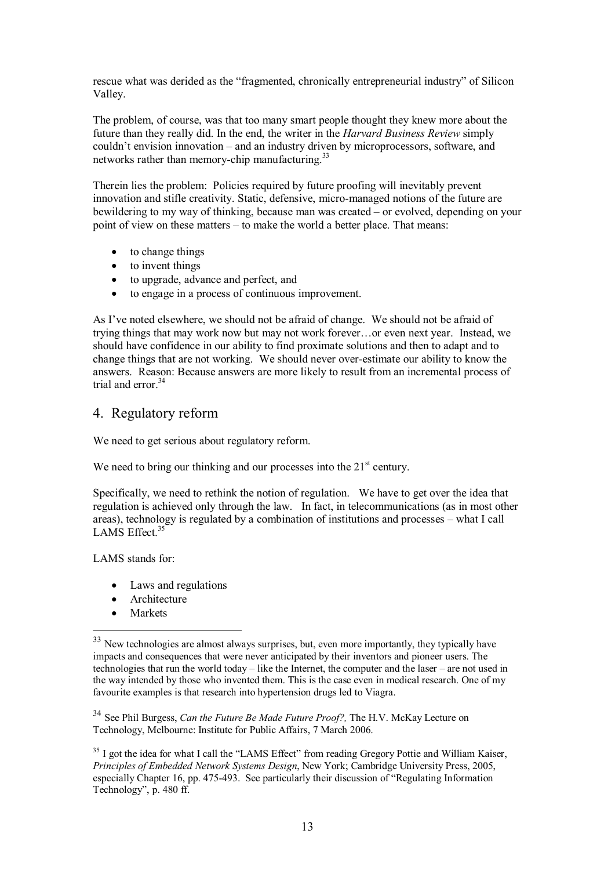rescue what was derided as the "fragmented, chronically entrepreneurial industry" of Silicon Valley.

The problem, of course, was that too many smart people thought they knew more about the future than they really did. In the end, the writer in the *Harvard Business Review* simply couldn't envision innovation – and an industry driven by microprocessors, software, and networks rather than memory-chip manufacturing.<sup>33</sup>

Therein lies the problem: Policies required by future proofing will inevitably prevent innovation and stifle creativity. Static, defensive, micro-managed notions of the future are bewildering to my way of thinking, because man was created – or evolved, depending on your point of view on these matters – to make the world a better place. That means:

- to change things
- to invent things
- · to upgrade, advance and perfect, and
- to engage in a process of continuous improvement.

As I've noted elsewhere, we should not be afraid of change. We should not be afraid of trying things that may work now but may not work forever…or even next year. Instead, we should have confidence in our ability to find proximate solutions and then to adapt and to change things that are not working. We should never over-estimate our ability to know the answers. Reason: Because answers are more likely to result from an incremental process of trial and error.<sup>34</sup>

### 4. Regulatory reform

We need to get serious about regulatory reform.

We need to bring our thinking and our processes into the  $21<sup>st</sup>$  century.

Specifically, we need to rethink the notion of regulation. We have to get over the idea that regulation is achieved only through the law. In fact, in telecommunications (as in most other areas), technology is regulated by a combination of institutions and processes – what I call LAMS Effect.<sup>35</sup>

LAMS stands for:

- Laws and regulations
- Architecture
- **Markets**

<sup>34</sup> See Phil Burgess, *Can the Future Be Made Future Proof?,* The H.V. McKay Lecture on Technology, Melbourne: Institute for Public Affairs, 7 March 2006.

<sup>35</sup> I got the idea for what I call the "LAMS Effect" from reading Gregory Pottie and William Kaiser, *Principles of Embedded Network Systems Design*, New York; Cambridge University Press, 2005, especially Chapter 16, pp. 475493. See particularly their discussion of "Regulating Information Technology", p. 480 ff.

<sup>&</sup>lt;sup>33</sup> New technologies are almost always surprises, but, even more importantly, they typically have impacts and consequences that were never anticipated by their inventors and pioneer users. The technologies that run the world today – like the Internet, the computer and the laser – are not used in the way intended by those who invented them. This is the case even in medical research. One of my favourite examples is that research into hypertension drugs led to Viagra.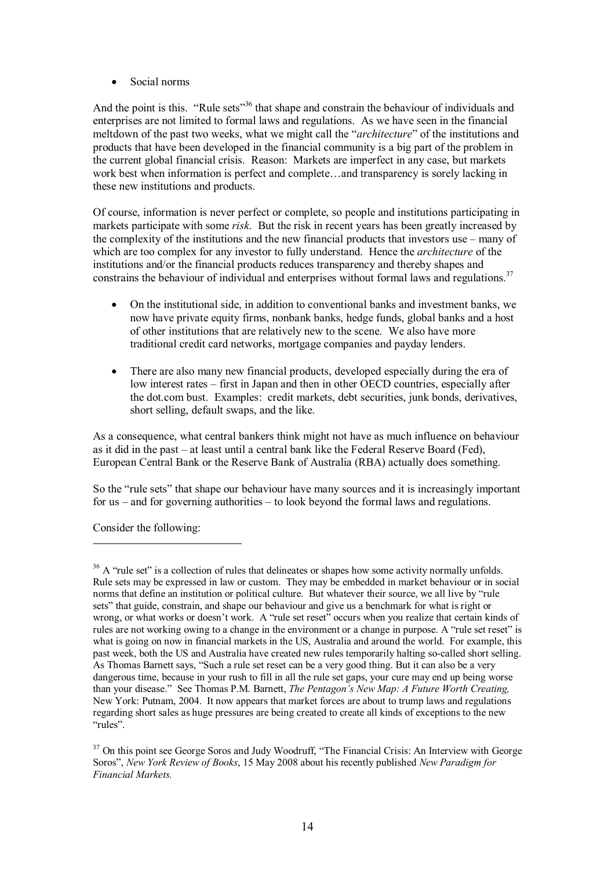· Social norms

And the point is this. "Rule sets"<sup>36</sup> that shape and constrain the behaviour of individuals and enterprises are not limited to formal laws and regulations. As we have seen in the financial meltdown of the past two weeks, what we might call the "*architecture*" of the institutions and products that have been developed in the financial community is a big part of the problem in the current global financial crisis. Reason: Markets are imperfect in any case, but markets work best when information is perfect and complete…and transparency is sorely lacking in these new institutions and products.

Of course, information is never perfect or complete, so people and institutions participating in markets participate with some *risk*. But the risk in recent years has been greatly increased by the complexity of the institutions and the new financial products that investors use – many of which are too complex for any investor to fully understand. Hence the *architecture* of the institutions and/or the financial products reduces transparency and thereby shapes and constrains the behaviour of individual and enterprises without formal laws and regulations.<sup>37</sup>

- · On the institutional side, in addition to conventional banks and investment banks, we now have private equity firms, nonbank banks, hedge funds, global banks and a host of other institutions that are relatively new to the scene. We also have more traditional credit card networks, mortgage companies and payday lenders.
- There are also many new financial products, developed especially during the era of low interest rates – first in Japan and then in other OECD countries, especially after the dot.com bust. Examples: credit markets, debt securities, junk bonds, derivatives, short selling, default swaps, and the like.

As a consequence, what central bankers think might not have as much influence on behaviour as it did in the past – at least until a central bank like the Federal Reserve Board (Fed), European Central Bank or the Reserve Bank of Australia (RBA) actually does something.

So the "rule sets" that shape our behaviour have many sources and it is increasingly important for us – and for governing authorities – to look beyond the formal laws and regulations.

Consider the following:

<sup>&</sup>lt;sup>36</sup> A "rule set" is a collection of rules that delineates or shapes how some activity normally unfolds. Rule sets may be expressed in law or custom. They may be embedded in market behaviour or in social norms that define an institution or political culture. But whatever their source, we all live by "rule sets" that guide, constrain, and shape our behaviour and give us a benchmark for what is right or wrong, or what works or doesn't work. A "rule set reset" occurs when you realize that certain kinds of rules are not working owing to a change in the environment or a change in purpose. A "rule set reset" is what is going on now in financial markets in the US, Australia and around the world. For example, this past week, both the US and Australia have created new rules temporarily halting socalled short selling. As Thomas Barnett says, "Such a rule set reset can be a very good thing. But it can also be a very dangerous time, because in your rush to fill in all the rule set gaps, your cure may end up being worse than your disease." See Thomas P.M. Barnett, *The Pentagon's New Map: A Future Worth Creating,* New York: Putnam, 2004. It now appears that market forces are about to trump laws and regulations regarding short sales as huge pressures are being created to create all kinds of exceptions to the new "rules".

<sup>&</sup>lt;sup>37</sup> On this point see George Soros and Judy Woodruff, "The Financial Crisis: An Interview with George Soros", *New York Review of Books*, 15 May 2008 about his recently published *New Paradigm for Financial Markets.*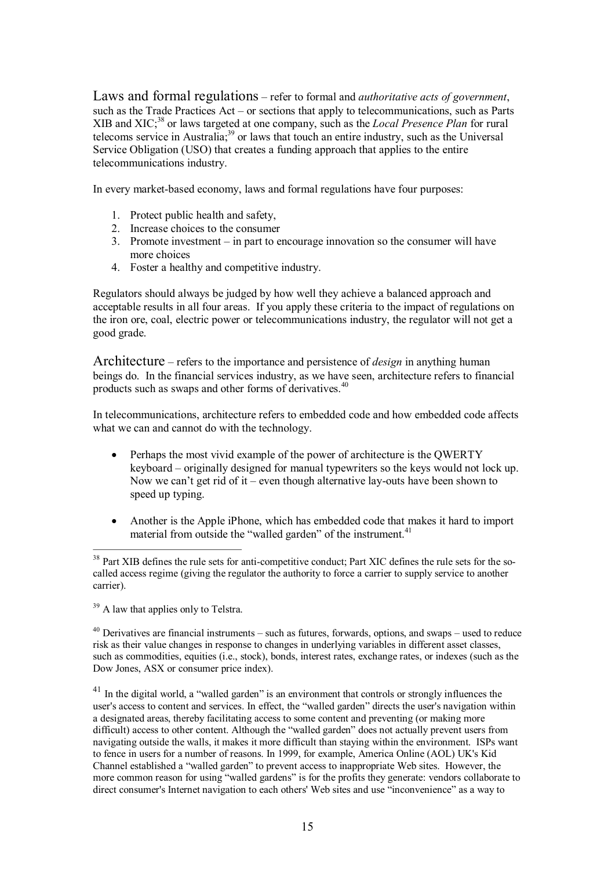Laws and formal regulations – refer to formal and *authoritative acts of government*, such as the Trade Practices Act – or sections that apply to telecommunications, such as Parts XIB and XIC; <sup>38</sup> or laws targeted at one company, such as the *Local Presence Plan* for rural telecoms service in Australia;<sup>39</sup> or laws that touch an entire industry, such as the Universal Service Obligation (USO) that creates a funding approach that applies to the entire telecommunications industry.

In every market-based economy, laws and formal regulations have four purposes:

- 1. Protect public health and safety,
- 2. Increase choices to the consumer
- 3. Promote investment in part to encourage innovation so the consumer will have more choices
- 4. Foster a healthy and competitive industry.

Regulators should always be judged by how well they achieve a balanced approach and acceptable results in all four areas. If you apply these criteria to the impact of regulations on the iron ore, coal, electric power or telecommunications industry, the regulator will not get a good grade.

Architecture – refers to the importance and persistence of *design* in anything human beings do. In the financial services industry, as we have seen, architecture refers to financial products such as swaps and other forms of derivatives.<sup>40</sup>

In telecommunications, architecture refers to embedded code and how embedded code affects what we can and cannot do with the technology.

- Perhaps the most vivid example of the power of architecture is the QWERTY keyboard – originally designed for manual typewriters so the keys would not lock up. Now we can't get rid of it – even though alternative lay-outs have been shown to speed up typing.
- · Another is the Apple iPhone, which has embedded code that makes it hard to import material from outside the "walled garden" of the instrument.<sup>41</sup>

<sup>&</sup>lt;sup>38</sup> Part XIB defines the rule sets for anti-competitive conduct; Part XIC defines the rule sets for the socalled access regime (giving the regulator the authority to force a carrier to supply service to another carrier).

<sup>&</sup>lt;sup>39</sup> A law that applies only to Telstra.

 $40$  Derivatives are financial instruments – such as futures, forwards, options, and swaps – used to reduce risk as their value changes in response to changes in underlying variables in different asset classes, such as commodities, equities (i.e., stock), bonds, interest rates, exchange rates, or indexes (such as the Dow Jones, ASX or consumer price index).

 $41$  In the digital world, a "walled garden" is an environment that controls or strongly influences the user's access to content and services. In effect, the "walled garden" directs the user's navigation within a designated areas, thereby facilitating access to some content and preventing (or making more difficult) access to other content. Although the "walled garden" does not actually prevent users from navigating outside the walls, it makes it more difficult than staying within the environment. ISPs want to fence in users for a number of reasons. In 1999, for example, America Online (AOL) UK's Kid Channel established a "walled garden" to prevent access to inappropriate Web sites. However, the more common reason for using "walled gardens" is for the profits they generate: vendors collaborate to direct consumer's Internet navigation to each others' Web sites and use "inconvenience" as a way to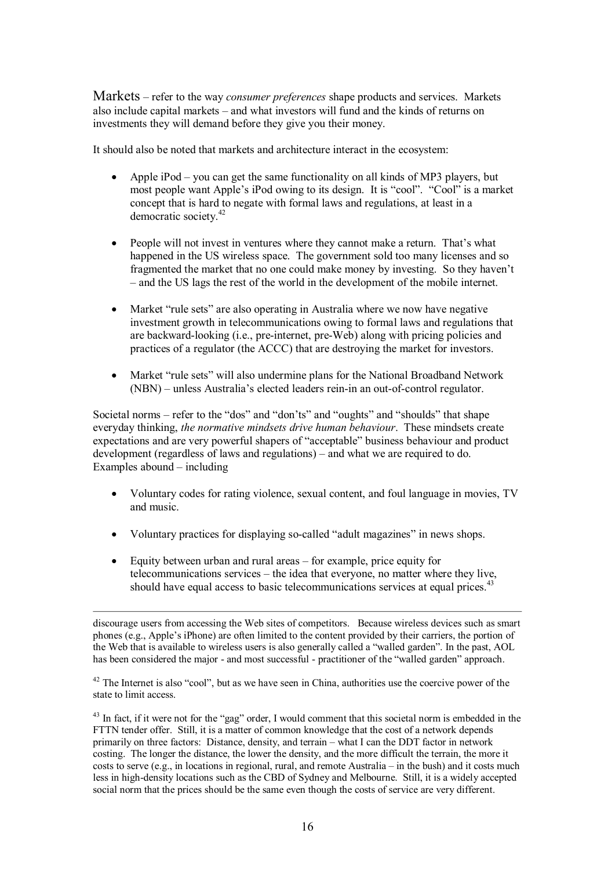Markets – refer to the way *consumer preferences* shape products and services. Markets also include capital markets – and what investors will fund and the kinds of returns on investments they will demand before they give you their money.

It should also be noted that markets and architecture interact in the ecosystem:

- · Apple iPod you can get the same functionality on all kinds of MP3 players, but most people want Apple's iPod owing to its design. It is "cool". "Cool" is a market concept that is hard to negate with formal laws and regulations, at least in a democratic society.<sup>42</sup>
- People will not invest in ventures where they cannot make a return. That's what happened in the US wireless space. The government sold too many licenses and so fragmented the market that no one could make money by investing. So they haven't – and the US lags the rest of the world in the development of the mobile internet.
- Market "rule sets" are also operating in Australia where we now have negative investment growth in telecommunications owing to formal laws and regulations that are backward-looking (i.e., pre-internet, pre-Web) along with pricing policies and practices of a regulator (the ACCC) that are destroying the market for investors.
- · Market "rule sets" will also undermine plans for the National Broadband Network (NBN) – unless Australia's elected leaders rein-in an out-of-control regulator.

Societal norms – refer to the "dos" and "don'ts" and "oughts" and "shoulds" that shape everyday thinking, *the normative mindsets drive human behaviour*. These mindsets create expectations and are very powerful shapers of "acceptable" business behaviour and product development (regardless of laws and regulations) – and what we are required to do. Examples abound – including

- · Voluntary codes for rating violence, sexual content, and foul language in movies, TV and music.
- · Voluntary practices for displaying socalled "adult magazines" in news shops.
- Equity between urban and rural areas for example, price equity for telecommunications services – the idea that everyone, no matter where they live, should have equal access to basic telecommunications services at equal prices.<sup>4</sup>

discourage users from accessing the Web sites of competitors. Because wireless devices such as smart phones (e.g., Apple's iPhone) are often limited to the content provided by their carriers, the portion of the Web that is available to wireless users is also generally called a "walled garden". In the past, AOL has been considered the major - and most successful - practitioner of the "walled garden" approach.

 $42$  The Internet is also "cool", but as we have seen in China, authorities use the coercive power of the state to limit access.

<sup>43</sup> In fact, if it were not for the "gag" order, I would comment that this societal norm is embedded in the FTTN tender offer. Still, it is a matter of common knowledge that the cost of a network depends primarily on three factors: Distance, density, and terrain – what I can the DDT factor in network costing. The longer the distance, the lower the density, and the more difficult the terrain, the more it costs to serve (e.g., in locations in regional, rural, and remote Australia – in the bush) and it costs much less in high-density locations such as the CBD of Sydney and Melbourne. Still, it is a widely accepted social norm that the prices should be the same even though the costs of service are very different.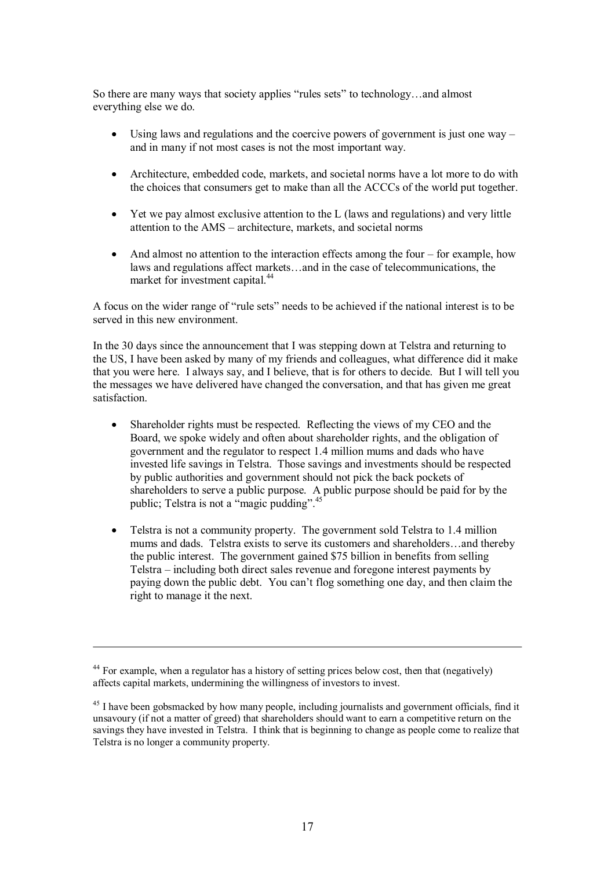So there are many ways that society applies "rules sets" to technology…and almost everything else we do.

- Using laws and regulations and the coercive powers of government is just one way  $$ and in many if not most cases is not the most important way.
- · Architecture, embedded code, markets, and societal norms have a lot more to do with the choices that consumers get to make than all the ACCCs of the world put together.
- · Yet we pay almost exclusive attention to the L (laws and regulations) and very little attention to the AMS – architecture, markets, and societal norms
- And almost no attention to the interaction effects among the four for example, how laws and regulations affect markets…and in the case of telecommunications, the market for investment capital.<sup>44</sup>

A focus on the wider range of "rule sets" needs to be achieved if the national interest is to be served in this new environment.

In the 30 days since the announcement that I was stepping down at Telstra and returning to the US, I have been asked by many of my friends and colleagues, what difference did it make that you were here. I always say, and I believe, that is for others to decide. But I will tell you the messages we have delivered have changed the conversation, and that has given me great satisfaction.

- Shareholder rights must be respected. Reflecting the views of my CEO and the Board, we spoke widely and often about shareholder rights, and the obligation of government and the regulator to respect 1.4 million mums and dads who have invested life savings in Telstra. Those savings and investments should be respected by public authorities and government should not pick the back pockets of shareholders to serve a public purpose. A public purpose should be paid for by the public; Telstra is not a "magic pudding".<sup>45</sup>
- Telstra is not a community property. The government sold Telstra to 1.4 million mums and dads. Telstra exists to serve its customers and shareholders…and thereby the public interest. The government gained \$75 billion in benefits from selling Telstra – including both direct sales revenue and foregone interest payments by paying down the public debt. You can't flog something one day, and then claim the right to manage it the next.

<sup>&</sup>lt;sup>44</sup> For example, when a regulator has a history of setting prices below cost, then that (negatively) affects capital markets, undermining the willingness of investors to invest.

<sup>&</sup>lt;sup>45</sup> I have been gobsmacked by how many people, including journalists and government officials, find it unsavoury (if not a matter of greed) that shareholders should want to earn a competitive return on the savings they have invested in Telstra. I think that is beginning to change as people come to realize that Telstra is no longer a community property.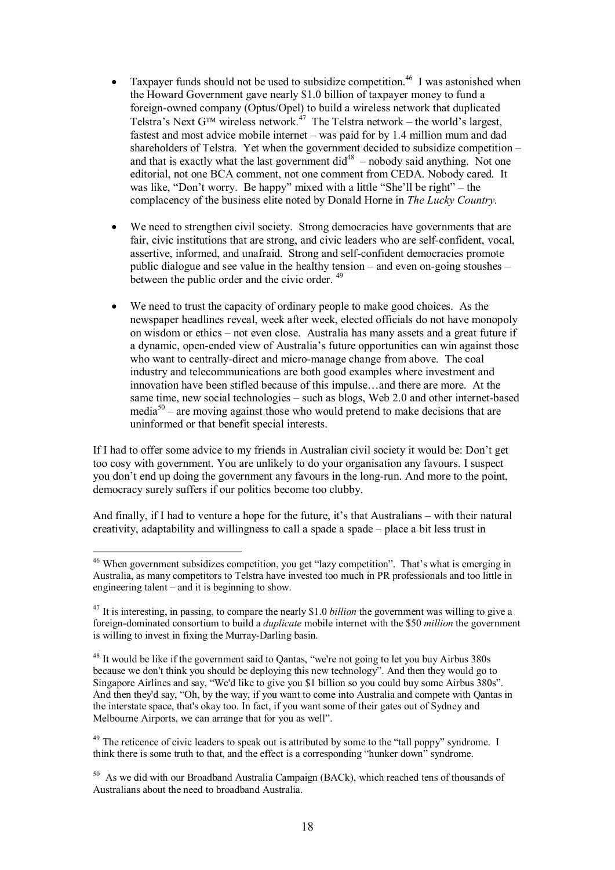- Taxpayer funds should not be used to subsidize competition.<sup>46</sup> I was astonished when the Howard Government gave nearly \$1.0 billion of taxpayer money to fund a foreign-owned company (Optus/Opel) to build a wireless network that duplicated Telstra's Next  $G^{TM}$  wireless network.<sup>47</sup> The Telstra network – the world's largest, fastest and most advice mobile internet – was paid for by 1.4 million mum and dad shareholders of Telstra. Yet when the government decided to subsidize competition – and that is exactly what the last government  $\text{did}^{48}$  – nobody said anything. Not one editorial, not one BCA comment, not one comment from CEDA. Nobody cared. It was like, "Don't worry. Be happy" mixed with a little "She'll be right" – the complacency of the business elite noted by Donald Horne in *The Lucky Country.*
- We need to strengthen civil society. Strong democracies have governments that are fair, civic institutions that are strong, and civic leaders who are self-confident, vocal, assertive, informed, and unafraid. Strong and self-confident democracies promote public dialogue and see value in the healthy tension – and even on-going stoushes – between the public order and the civic order. <sup>49</sup>
- We need to trust the capacity of ordinary people to make good choices. As the newspaper headlines reveal, week after week, elected officials do not have monopoly on wisdom or ethics – not even close. Australia has many assets and a great future if a dynamic, openended view of Australia's future opportunities can win against those who want to centrally-direct and micro-manage change from above. The coal industry and telecommunications are both good examples where investment and innovation have been stifled because of this impulse…and there are more. At the same time, new social technologies – such as blogs, Web 2.0 and other internet-based media<sup>50</sup> – are moving against those who would pretend to make decisions that are uninformed or that benefit special interests.

If I had to offer some advice to my friends in Australian civil society it would be: Don't get too cosy with government. You are unlikely to do your organisation any favours. I suspect you don't end up doing the government any favours in the long-run. And more to the point, democracy surely suffers if our politics become too clubby.

And finally, if I had to venture a hope for the future, it's that Australians – with their natural creativity, adaptability and willingness to call a spade a spade – place a bit less trust in

<sup>&</sup>lt;sup>46</sup> When government subsidizes competition, you get "lazy competition". That's what is emerging in Australia, as many competitors to Telstra have invested too much in PR professionals and too little in engineering talent – and it is beginning to show.

<sup>&</sup>lt;sup>47</sup> It is interesting, in passing, to compare the nearly \$1.0 *billion* the government was willing to give a foreign-dominated consortium to build a *duplicate* mobile internet with the \$50 *million* the government is willing to invest in fixing the Murray-Darling basin.

<sup>&</sup>lt;sup>48</sup> It would be like if the government said to Qantas, "we're not going to let you buy Airbus 380s because we don't think you should be deploying this new technology". And then they would go to Singapore Airlines and say, "We'd like to give you \$1 billion so you could buy some Airbus 380s". And then they'd say, "Oh, by the way, if you want to come into Australia and compete with Qantas in the interstate space, that's okay too. In fact, if you want some of their gates out of Sydney and Melbourne Airports, we can arrange that for you as well".

 $49$  The reticence of civic leaders to speak out is attributed by some to the "tall poppy" syndrome. I think there is some truth to that, and the effect is a corresponding "hunker down" syndrome.

<sup>&</sup>lt;sup>50</sup> As we did with our Broadband Australia Campaign (BACk), which reached tens of thousands of Australians about the need to broadband Australia.